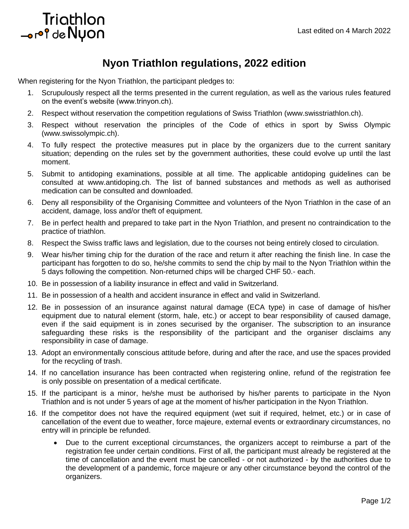## Triathlon or<sup>of</sup> de Nyon

## **Nyon Triathlon regulations, 2022 edition**

When registering for the Nyon Triathlon, the participant pledges to:

- 1. [Scrupulously](https://www.linguee.com/english-french/translation/scrupulously.html) respect all the terms presented in the current regulation, as well as the various rules featured on the event's website (www.trinyon.ch).
- 2. Respect without reservation the competition regulations of Swiss Triathlon [\(www.swisstriathlon.ch\)](file:///C:/Users/grivel.y/Dropbox/TRI%20Comité%20d).
- 3. Respect without reservation the principles of the Code of ethics in sport by Swiss Olympic [\(www.swissolympic.ch\)](http://www.swissolympic.ch/).
- 4. To fully respect the protective measures put in place by the organizers due to the current sanitary situation; depending on the rules set by the government authorities, these could evolve up until the last moment.
- 5. Submit to antidoping examinations, possible at all time. The applicable antidoping guidelines can be consulted at [www.antidoping.ch.](http://www.antidoping.ch/) The list of banned substances and methods as well as authorised medication can be consulted and downloaded.
- 6. Deny all responsibility of the Organising Committee and volunteers of the Nyon Triathlon in the case of an accident, damage, loss and/or theft of equipment.
- 7. Be in perfect health and prepared to take part in the Nyon Triathlon, and present no [contraindication](https://www.linguee.com/english-french/translation/contraindication.html) to the practice of triathlon.
- 8. Respect the Swiss traffic laws and legislation, due to the courses not being entirely closed to circulation.
- 9. Wear his/her timing chip for the duration of the race and return it after reaching the finish line. In case the participant has forgotten to do so, he/she commits to send the chip by mail to the Nyon Triathlon within the 5 days following the competition. Non-returned chips will be charged CHF 50.- each.
- 10. Be in possession of a liability insurance in effect and valid in Switzerland.
- 11. Be in possession of a health and accident insurance in effect and valid in Switzerland.
- 12. Be in possession of an insurance against natural damage (ECA type) in case of damage of his/her equipment due to natural element (storm, hale, etc.) or accept to bear responsibility of caused damage, even if the said equipment is in zones securised by the organiser. The subscription to an insurance safeguarding these risks is the responsibility of the participant and the organiser disclaims any responsibility in case of damage.
- 13. Adopt an environmentally conscious attitude before, during and after the race, and use the spaces provided for the recycling of trash.
- 14. If no cancellation insurance has been contracted when registering online, refund of the registration fee is only possible on presentation of a medical certificate.
- 15. If the participant is a minor, he/she must be authorised by his/her parents to participate in the Nyon Triathlon and is not under 5 years of age at the moment of his/her participation in the Nyon Triathlon.
- 16. If the competitor does not have the required equipment (wet suit if required, helmet, etc.) or in case of cancellation of the event due to weather, force majeure, external events or extraordinary circumstances, no entry will in principle be refunded.
	- Due to the current exceptional circumstances, the organizers accept to reimburse a part of the registration fee under certain conditions. First of all, the participant must already be registered at the time of cancellation and the event must be cancelled - or not authorized - by the authorities due to the development of a pandemic, force majeure or any other circumstance beyond the control of the organizers.